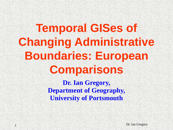# **Temporal GISes of Changing Administrative Boundaries: European Comparisons**

**Dr. Ian Gregory, Department of Geography, University of Portsmouth**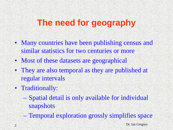## **The need for geography**

- Many countries have been publishing census and similar statistics for two centuries or more
- Most of these datasets are geographical
- They are also temporal as they are published at regular intervals
- Traditionally:
	- Spatial detail is only available for individual snapshots
	- Temporal exploration grossly simplifies space

 $2 \times 10^{-10}$  Dr. Ian Gregory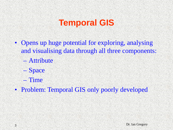### **Temporal GIS**

- Opens up huge potential for exploring, analysing and visualising data through all three components:
	- Attribute
	- Space
	- Time
- Problem: Temporal GIS only poorly developed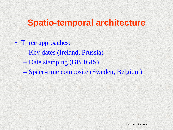### **Spatio-temporal architecture**

- Three approaches:
	- Key dates (Ireland, Prussia)
	- Date stamping (GBHGIS)
	- Space-time composite (Sweden, Belgium)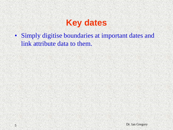#### **Key dates**

• Simply digitise boundaries at important dates and link attribute data to them.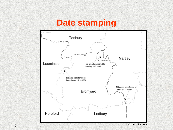#### **Date stamping**

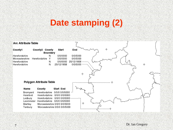#### **Date stamping (2)**

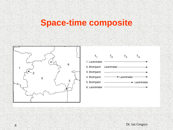#### **Space-time composite**



| $T_{1}$                         | T <sub>2</sub> | $T_3$                                                        | $T_{4}$      |
|---------------------------------|----------------|--------------------------------------------------------------|--------------|
| 1. Leominster                   |                |                                                              |              |
| 2. Bromyard Leominster ———————— |                |                                                              |              |
| 3. Bromyard                     |                |                                                              |              |
| 4. Bromyard                     |                | $\overline{\phantom{a}}$ Leominster $\overline{\phantom{a}}$ |              |
| 5. Bromyard                     |                |                                                              | - Leominster |
| 6. Leominster                   |                |                                                              |              |
|                                 |                |                                                              |              |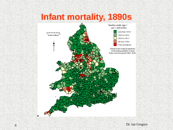#### **Infant mortality, 1890s**

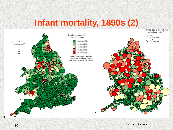#### **Infant mortality, 1890s (2)**

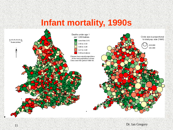#### **Infant mortality, 1990s**